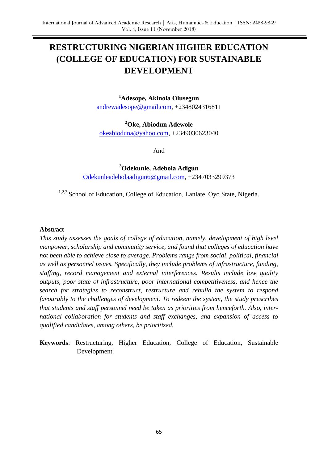# **RESTRUCTURING NIGERIAN HIGHER EDUCATION (COLLEGE OF EDUCATION) FOR SUSTAINABLE DEVELOPMENT**

**<sup>1</sup>Adesope, Akinola Olusegun**

[andrewadesope@gmail.com,](mailto:andrewadesope@gmail.com) +2348024316811

**<sup>2</sup>Oke, Abiodun Adewole** [okeabioduna@yahoo.com,](mailto:okeabioduna@yahoo.com) +2349030623040

And

**<sup>3</sup>Odekunle, Adebola Adigun** [Odekunleadebolaadigun6@gmail.com,](mailto:Odekunleadebolaadigun6@gmail.com) +2347033299373

<sup>1,2,3</sup> School of Education, College of Education, Lanlate, Oyo State, Nigeria.

#### **Abstract**

*This study assesses the goals of college of education, namely, development of high level manpower, scholarship and community service, and found that colleges of education have not been able to achieve close to average. Problems range from social, political, financial as well as personnel issues. Specifically, they include problems of infrastructure, funding, staffing, record management and external interferences. Results include low quality outputs, poor state of infrastructure, poor international competitiveness, and hence the search for strategies to reconstruct, restructure and rebuild the system to respond favourably to the challenges of development. To redeem the system, the study prescribes that students and staff personnel need be taken as priorities from henceforth. Also, international collaboration for students and staff exchanges, and expansion of access to qualified candidates, among others, be prioritized.*

**Keywords**: Restructuring, Higher Education, College of Education, Sustainable Development.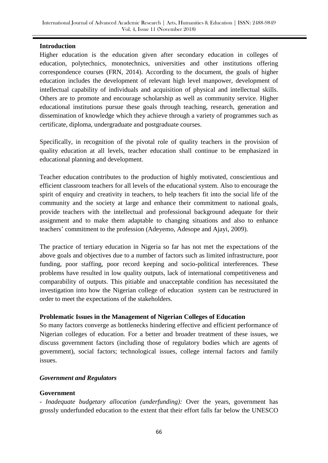## **Introduction**

Higher education is the education given after secondary education in colleges of education, polytechnics, monotechnics, universities and other institutions offering correspondence courses (FRN, 2014). According to the document, the goals of higher education includes the development of relevant high level manpower, development of intellectual capability of individuals and acquisition of physical and intellectual skills. Others are to promote and encourage scholarship as well as community service. Higher educational institutions pursue these goals through teaching, research, generation and dissemination of knowledge which they achieve through a variety of programmes such as certificate, diploma, undergraduate and postgraduate courses.

Specifically, in recognition of the pivotal role of quality teachers in the provision of quality education at all levels, teacher education shall continue to be emphasized in educational planning and development.

Teacher education contributes to the production of highly motivated, conscientious and efficient classroom teachers for all levels of the educational system. Also to encourage the spirit of enquiry and creativity in teachers, to help teachers fit into the social life of the community and the society at large and enhance their commitment to national goals, provide teachers with the intellectual and professional background adequate for their assignment and to make them adaptable to changing situations and also to enhance teachers" commitment to the profession (Adeyemo, Adesope and Ajayi, 2009).

The practice of tertiary education in Nigeria so far has not met the expectations of the above goals and objectives due to a number of factors such as limited infrastructure, poor funding, poor staffing, poor record keeping and socio-political interferences. These problems have resulted in low quality outputs, lack of international competitiveness and comparability of outputs. This pitiable and unacceptable condition has necessitated the investigation into how the Nigerian college of education system can be restructured in order to meet the expectations of the stakeholders.

## **Problematic Issues in the Management of Nigerian Colleges of Education**

So many factors converge as bottlenecks hindering effective and efficient performance of Nigerian colleges of education. For a better and broader treatment of these issues, we discuss government factors (including those of regulatory bodies which are agents of government), social factors; technological issues, college internal factors and family issues.

#### *Government and Regulators*

#### **Government**

- *Inadequate budgetary allocation (underfunding):* Over the years, government has grossly underfunded education to the extent that their effort falls far below the UNESCO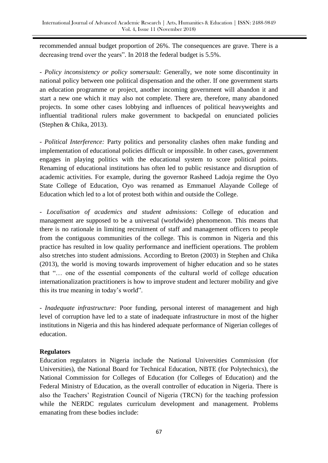recommended annual budget proportion of 26%. The consequences are grave. There is a decreasing trend over the years". In 2018 the federal budget is 5.5%.

- *Policy inconsistency or policy somersault:* Generally, we note some discontinuity in national policy between one political dispensation and the other. If one government starts an education programme or project, another incoming government will abandon it and start a new one which it may also not complete. There are, therefore, many abandoned projects. In some other cases lobbying and influences of political heavyweights and influential traditional rulers make government to backpedal on enunciated policies (Stephen & Chika, 2013).

- *Political Interference:* Party politics and personality clashes often make funding and implementation of educational policies difficult or impossible. In other cases, government engages in playing politics with the educational system to score political points. Renaming of educational institutions has often led to public resistance and disruption of academic activities. For example, during the governor Rasheed Ladoja regime the Oyo State College of Education, Oyo was renamed as Emmanuel Alayande College of Education which led to a lot of protest both within and outside the College.

- *Localisation of academics and student admissions:* College of education and management are supposed to be a universal (worldwide) phenomenon. This means that there is no rationale in limiting recruitment of staff and management officers to people from the contiguous communities of the college. This is common in Nigeria and this practice has resulted in low quality performance and inefficient operations. The problem also stretches into student admissions. According to Breton (2003) in Stephen and Chika (2013), the world is moving towards improvement of higher education and so he states that "… one of the essential components of the cultural world of college education internationalization practitioners is how to improve student and lecturer mobility and give this its true meaning in today"s world".

- *Inadequate infrastructure:* Poor funding, personal interest of management and high level of corruption have led to a state of inadequate infrastructure in most of the higher institutions in Nigeria and this has hindered adequate performance of Nigerian colleges of education.

## **Regulators**

Education regulators in Nigeria include the National Universities Commission (for Universities), the National Board for Technical Education, NBTE (for Polytechnics), the National Commission for Colleges of Education (for Colleges of Education) and the Federal Ministry of Education, as the overall controller of education in Nigeria. There is also the Teachers" Registration Council of Nigeria (TRCN) for the teaching profession while the NERDC regulates curriculum development and management. Problems emanating from these bodies include: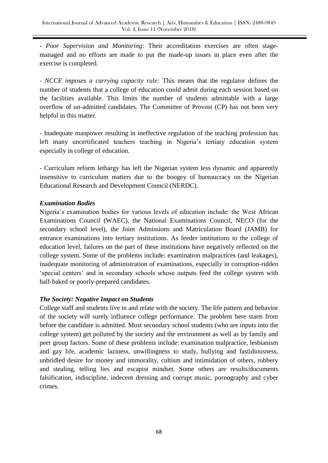- *Poor Supervision and Monitoring*: Their accreditation exercises are often stagemanaged and no efforts are made to put the made-up issues in place even after the exercise is completed.

- *NCCE imposes a carrying capacity rule:* This means that the regulator defines the number of students that a college of education could admit during each session based on the facilities available. This limits the number of students admittable with a large overflow of un-admitted candidates. The Committee of Provost (CP) has not been very helpful in this matter.

- Inadequate manpower resulting in ineffective regulation of the teaching profession has left many uncertificated teachers teaching in Nigeria's tertiary education system especially in college of education.

- Curriculum reform lethargy has left the Nigerian system less dynamic and apparently insensitive to curriculum matters due to the boogey of bureaucracy on the Nigerian Educational Research and Development Council (NERDC).

## *Examination Bodies*

Nigeria"s examination bodies for various levels of education include: the West African Examinations Council (WAEC), the National Examinations Council, NECO (for the secondary school level), the Joint Admissions and Matriculation Board (JAMB) for entrance examinations into tertiary institutions. As feeder institutions to the college of education level, failures on the part of these institutions have negatively reflected on the college system. Some of the problems include: examination malpractices (and leakages), inadequate monitoring of administration of examinations, especially in corruption-ridden "special centers" and in secondary schools whose outputs feed the college system with half-baked or poorly-prepared candidates.

# *The Society: Negative Impact on Students*

College staff and students live in and relate with the society. The life pattern and behavior of the society will surely influence college performance. The problem here starts from before the candidate is admitted. Most secondary school students (who are inputs into the college system) get polluted by the society and the environment as well as by family and peer group factors. Some of these problems include: examination malpractice, lesbianism and gay life, academic laziness, unwillingness to study, bullying and fastidiousness, unbridled desire for money and immorality, cultism and intimidation of others, robbery and stealing, telling lies and escapist mindset. Some others are results/documents falsification, indiscipline, indecent dressing and corrupt music, pornography and cyber crimes.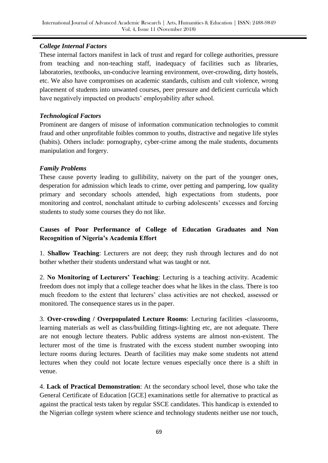# *College Internal Factors*

These internal factors manifest in lack of trust and regard for college authorities, pressure from teaching and non-teaching staff, inadequacy of facilities such as libraries, laboratories, textbooks, un-conducive learning environment, over-crowding, dirty hostels, etc. We also have compromises on academic standards, cultism and cult violence, wrong placement of students into unwanted courses, peer pressure and deficient curricula which have negatively impacted on products' employability after school.

# *Technological Factors*

Prominent are dangers of misuse of information communication technologies to commit fraud and other unprofitable foibles common to youths, distractive and negative life styles (habits). Others include: pornography, cyber-crime among the male students, documents manipulation and forgery.

# *Family Problems*

These cause poverty leading to gullibility, naivety on the part of the younger ones, desperation for admission which leads to crime, over petting and pampering, low quality primary and secondary schools attended, high expectations from students, poor monitoring and control, nonchalant attitude to curbing adolescents' excesses and forcing students to study some courses they do not like.

# **Causes of Poor Performance of College of Education Graduates and Non Recognition of Nigeria's Academia Effort**

1. **Shallow Teaching**: Lecturers are not deep; they rush through lectures and do not bother whether their students understand what was taught or not.

2. **No Monitoring of Lecturers' Teaching**: Lecturing is a teaching activity. Academic freedom does not imply that a college teacher does what he likes in the class. There is too much freedom to the extent that lecturers' class activities are not checked, assessed or monitored. The consequence stares us in the paper.

3. **Over-crowding / Overpopulated Lecture Rooms**: Lecturing facilities -classrooms, learning materials as well as class/building fittings-lighting etc, are not adequate. There are not enough lecture theaters. Public address systems are almost non-existent. The lecturer most of the time is frustrated with the excess student number swooping into lecture rooms during lectures. Dearth of facilities may make some students not attend lectures when they could not locate lecture venues especially once there is a shift in venue.

4. **Lack of Practical Demonstration**: At the secondary school level, those who take the General Certificate of Education [GCE] examinations settle for alternative to practical as against the practical tests taken by regular SSCE candidates. This handicap is extended to the Nigerian college system where science and technology students neither use nor touch,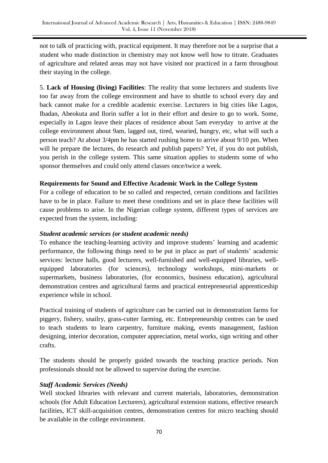not to talk of practicing with, practical equipment. It may therefore not be a surprise that a student who made distinction in chemistry may not know well how to titrate. Graduates of agriculture and related areas may not have visited nor practiced in a farm throughout their staying in the college.

5. **Lack of Housing (living) Facilities**: The reality that some lecturers and students live too far away from the college environment and have to shuttle to school every day and back cannot make for a credible academic exercise. Lecturers in big cities like Lagos, Ibadan, Abeokuta and Ilorin suffer a lot in their effort and desire to go to work. Some, especially in Lagos leave their places of residence about 5am everyday to arrive at the college environment about 9am, lagged out, tired, wearied, hungry, etc, what will such a person teach? At about 3/4pm he has started rushing home to arrive about 9/10 pm. When will he prepare the lectures, do research and publish papers? Yet, if you do not publish, you perish in the college system. This same situation applies to students some of who sponsor themselves and could only attend classes once/twice a week.

## **Requirements for Sound and Effective Academic Work in the College System**

For a college of education to be so called and respected, certain conditions and facilities have to be in place. Failure to meet these conditions and set in place these facilities will cause problems to arise. In the Nigerian college system, different types of services are expected from the system, including:

#### *Student academic services (or student academic needs)*

To enhance the teaching-learning activity and improve students' learning and academic performance, the following things need to be put in place as part of students" academic services: lecture halls, good lecturers, well-furnished and well-equipped libraries, wellequipped laboratories (for sciences), technology workshops, mini-markets or supermarkets, business laboratories, (for economics, business education), agricultural demonstration centres and agricultural farms and practical entrepreneurial apprenticeship experience while in school.

Practical training of students of agriculture can be carried out in demonstration farms for piggery, fishery, snailry, grass-cutter farming, etc. Entrepreneurship centres can be used to teach students to learn carpentry, furniture making, events management, fashion designing, interior decoration, computer appreciation, metal works, sign writing and other crafts.

The students should be properly guided towards the teaching practice periods. Non professionals should not be allowed to supervise during the exercise.

## *Staff Academic Services (Needs)*

Well stocked libraries with relevant and current materials, laboratories, demonstration schools (for Adult Education Lecturers), agricultural extension stations, effective research facilities, ICT skill-acquisition centres, demonstration centres for micro teaching should be available in the college environment.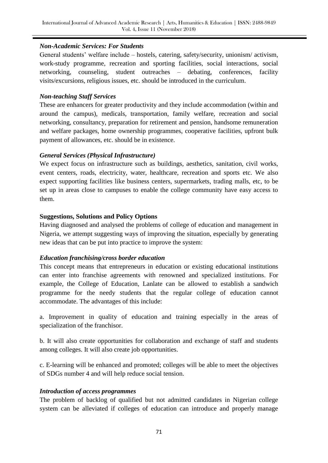## *Non-Academic Services: For Students*

General students" welfare include – hostels, catering, safety/security, unionism/ activism, work-study programme, recreation and sporting facilities, social interactions, social networking, counseling, student outreaches – debating, conferences, facility visits/excursions, religious issues, etc. should be introduced in the curriculum.

## *Non-teaching Staff Services*

These are enhancers for greater productivity and they include accommodation (within and around the campus), medicals, transportation, family welfare, recreation and social networking, consultancy, preparation for retirement and pension, handsome remuneration and welfare packages, home ownership programmes, cooperative facilities, upfront bulk payment of allowances, etc. should be in existence.

# *General Services (Physical Infrastructure)*

We expect focus on infrastructure such as buildings, aesthetics, sanitation, civil works, event centers, roads, electricity, water, healthcare, recreation and sports etc. We also expect supporting facilities like business centers, supermarkets, trading malls, etc, to be set up in areas close to campuses to enable the college community have easy access to them.

# **Suggestions, Solutions and Policy Options**

Having diagnosed and analysed the problems of college of education and management in Nigeria, we attempt suggesting ways of improving the situation, especially by generating new ideas that can be put into practice to improve the system:

## *Education franchising/cross border education*

This concept means that entrepreneurs in education or existing educational institutions can enter into franchise agreements with renowned and specialized institutions. For example, the College of Education, Lanlate can be allowed to establish a sandwich programme for the needy students that the regular college of education cannot accommodate. The advantages of this include:

a. Improvement in quality of education and training especially in the areas of specialization of the franchisor.

b. It will also create opportunities for collaboration and exchange of staff and students among colleges. It will also create job opportunities.

c. E-learning will be enhanced and promoted; colleges will be able to meet the objectives of SDGs number 4 and will help reduce social tension.

# *Introduction of access programmes*

The problem of backlog of qualified but not admitted candidates in Nigerian college system can be alleviated if colleges of education can introduce and properly manage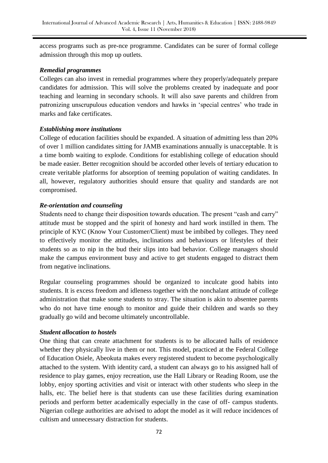access programs such as pre-nce programme. Candidates can be surer of formal college admission through this mop up outlets.

## *Remedial programmes*

Colleges can also invest in remedial programmes where they properly/adequately prepare candidates for admission. This will solve the problems created by inadequate and poor teaching and learning in secondary schools. It will also save parents and children from patronizing unscrupulous education vendors and hawks in "special centres" who trade in marks and fake certificates.

#### *Establishing more institutions*

College of education facilities should be expanded. A situation of admitting less than 20% of over 1 million candidates sitting for JAMB examinations annually is unacceptable. It is a time bomb waiting to explode. Conditions for establishing college of education should be made easier. Better recognition should be accorded other levels of tertiary education to create veritable platforms for absorption of teeming population of waiting candidates. In all, however, regulatory authorities should ensure that quality and standards are not compromised.

#### *Re-orientation and counseling*

Students need to change their disposition towards education. The present "cash and carry" attitude must be stopped and the spirit of honesty and hard work instilled in them. The principle of KYC (Know Your Customer/Client) must be imbibed by colleges. They need to effectively monitor the attitudes, inclinations and behaviours or lifestyles of their students so as to nip in the bud their slips into bad behavior. College managers should make the campus environment busy and active to get students engaged to distract them from negative inclinations.

Regular counseling programmes should be organized to inculcate good habits into students. It is excess freedom and idleness together with the nonchalant attitude of college administration that make some students to stray. The situation is akin to absentee parents who do not have time enough to monitor and guide their children and wards so they gradually go wild and become ultimately uncontrollable.

## *Student allocation to hostels*

One thing that can create attachment for students is to be allocated halls of residence whether they physically live in them or not. This model, practiced at the Federal College of Education Osiele, Abeokuta makes every registered student to become psychologically attached to the system. With identity card, a student can always go to his assigned hall of residence to play games, enjoy recreation, use the Hall Library or Reading Room, use the lobby, enjoy sporting activities and visit or interact with other students who sleep in the halls, etc. The belief here is that students can use these facilities during examination periods and perform better academically especially in the case of off- campus students. Nigerian college authorities are advised to adopt the model as it will reduce incidences of cultism and unnecessary distraction for students.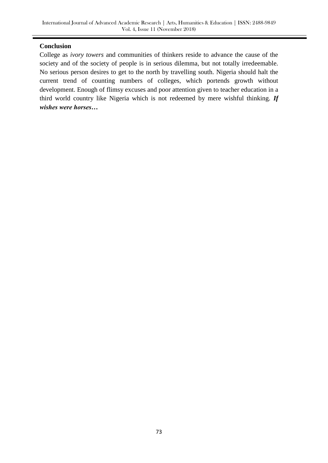## **Conclusion**

College as *ivory towers* and communities of thinkers reside to advance the cause of the society and of the society of people is in serious dilemma, but not totally irredeemable. No serious person desires to get to the north by travelling south. Nigeria should halt the current trend of counting numbers of colleges, which portends growth without development. Enough of flimsy excuses and poor attention given to teacher education in a third world country like Nigeria which is not redeemed by mere wishful thinking. *If wishes were horses…*